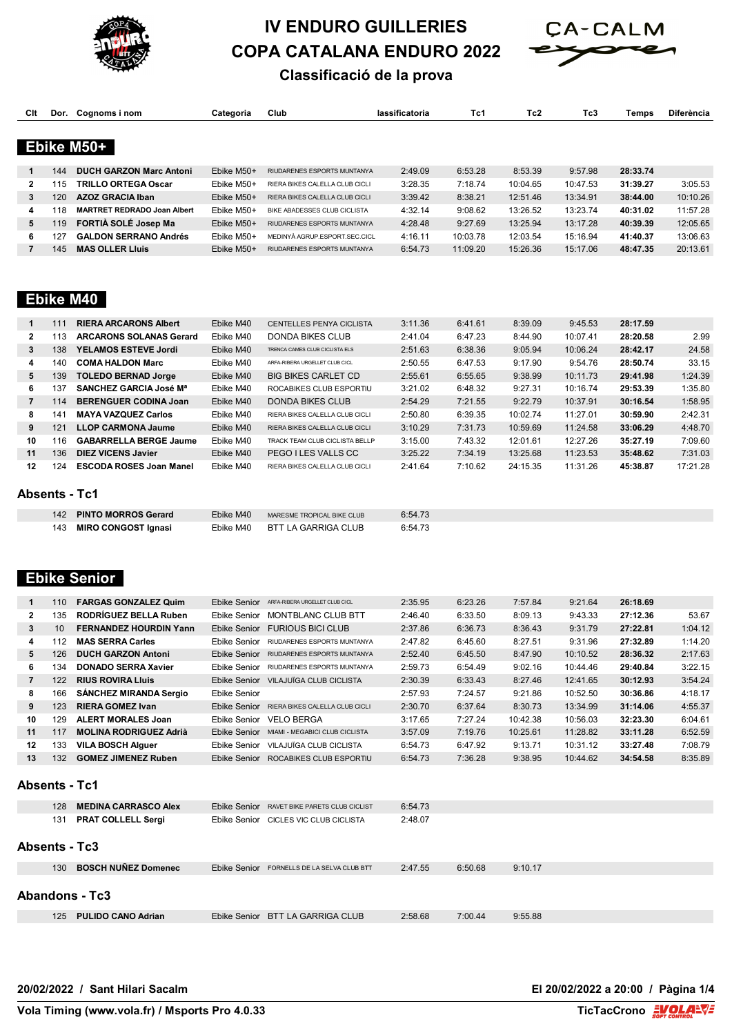



#### **Classificació de la prova**

| Clt            | Dor.                 | Cognoms i nom                      | Categoria           | Club                                 | lassificatoria | Tc1      | Tc <sub>2</sub> | Tc3      | Temps    | Diferència |
|----------------|----------------------|------------------------------------|---------------------|--------------------------------------|----------------|----------|-----------------|----------|----------|------------|
|                |                      |                                    |                     |                                      |                |          |                 |          |          |            |
|                |                      | Ebike M50+                         |                     |                                      |                |          |                 |          |          |            |
| 1              | 144                  | <b>DUCH GARZON Marc Antoni</b>     | Ebike M50+          | RIUDARENES ESPORTS MUNTANYA          | 2:49.09        | 6:53.28  | 8:53.39         | 9:57.98  | 28:33.74 |            |
| $\mathbf{2}$   | 115                  | <b>TRILLO ORTEGA Oscar</b>         | Ebike M50+          | RIERA BIKES CALELLA CLUB CICLI       | 3:28.35        | 7:18.74  | 10:04.65        | 10:47.53 | 31:39.27 | 3:05.53    |
| 3              | 120                  | <b>AZOZ GRACIA Iban</b>            | Ebike M50+          | RIERA BIKES CALELLA CLUB CICLI       | 3:39.42        | 8:38.21  | 12:51.46        | 13:34.91 | 38:44.00 | 10:10.26   |
| 4              | 118                  | <b>MARTRET REDRADO Joan Albert</b> | Ebike M50+          | BIKE ABADESSES CLUB CICLISTA         | 4:32.14        | 9:08.62  | 13:26.52        | 13:23.74 | 40:31.02 | 11:57.28   |
| 5              | 119                  | FORTIA SOLE Josep Ma               | Ebike M50+          | RIUDARENES ESPORTS MUNTANYA          | 4:28.48        | 9:27.69  | 13:25.94        | 13:17.28 | 40:39.39 | 12:05.65   |
| 6              | 127                  | <b>GALDON SERRANO Andrés</b>       | Ebike M50+          | MEDINYÀ AGRUP.ESPORT.SEC.CICL        | 4:16.11        | 10:03.78 | 12:03.54        | 15:16.94 | 41:40.37 | 13:06.63   |
| $\overline{7}$ | 145                  | <b>MAS OLLER LIUIS</b>             | Ebike M50+          | RIUDARENES ESPORTS MUNTANYA          | 6:54.73        | 11:09.20 | 15:26.36        | 15:17.06 | 48:47.35 | 20:13.61   |
|                |                      |                                    |                     |                                      |                |          |                 |          |          |            |
|                |                      |                                    |                     |                                      |                |          |                 |          |          |            |
|                |                      | <b>Ebike M40</b>                   |                     |                                      |                |          |                 |          |          |            |
|                |                      |                                    |                     |                                      |                |          |                 |          |          |            |
| 1              | 111                  | <b>RIERA ARCARONS Albert</b>       | Ebike M40           | CENTELLES PENYA CICLISTA             | 3:11.36        | 6:41.61  | 8:39.09         | 9:45.53  | 28:17.59 |            |
| $\mathbf{2}$   | 113                  | <b>ARCARONS SOLANAS Gerard</b>     | Ebike M40           | DONDA BIKES CLUB                     | 2:41.04        | 6:47.23  | 8:44.90         | 10:07.41 | 28:20.58 | 2.99       |
| 3              | 138                  | YELAMOS ESTEVE Jordi               | Ebike M40           | TRENCA CAMES CLUB CICLISTA ELS       | 2:51.63        | 6:38.36  | 9:05.94         | 10:06.24 | 28:42.17 | 24.58      |
| 4              | 140                  | <b>COMA HALDON Marc</b>            | Ebike M40           | ARFA-RIBERA URGELLET CLUB CICL       | 2:50.55        | 6:47.53  | 9:17.90         | 9:54.76  | 28:50.74 | 33.15      |
| 5              | 139                  | <b>TOLEDO BERNAD Jorge</b>         | Ebike M40           | <b>BIG BIKES CARLET CD</b>           | 2:55.61        | 6:55.65  | 9:38.99         | 10:11.73 | 29:41.98 | 1:24.39    |
| 6              | 137                  | <b>SANCHEZ GARCIA José Mª</b>      | Ebike M40           | ROCABIKES CLUB ESPORTIU              | 3:21.02        | 6:48.32  | 9:27.31         | 10:16.74 | 29:53.39 | 1:35.80    |
| $\overline{7}$ | 114                  | <b>BERENGUER CODINA Joan</b>       | Ebike M40           | <b>DONDA BIKES CLUB</b>              | 2:54.29        | 7:21.55  | 9:22.79         | 10:37.91 | 30:16.54 | 1:58.95    |
| 8              | 141                  | <b>MAYA VAZQUEZ Carlos</b>         | Ebike M40           | RIERA BIKES CALELLA CLUB CICLI       | 2:50.80        | 6:39.35  | 10:02.74        | 11:27.01 | 30:59.90 | 2:42.31    |
| 9              | 121                  | <b>LLOP CARMONA Jaume</b>          | Ebike M40           | RIERA BIKES CALELLA CLUB CICLI       | 3:10.29        | 7:31.73  | 10:59.69        | 11:24.58 | 33:06.29 | 4:48.70    |
| 10             | 116                  | <b>GABARRELLA BERGE Jaume</b>      | Ebike M40           | TRACK TEAM CLUB CICLISTA BELLP       | 3:15.00        | 7:43.32  | 12:01.61        | 12:27.26 | 35:27.19 | 7:09.60    |
| 11             | 136                  | <b>DIEZ VICENS Javier</b>          | Ebike M40           | PEGO I LES VALLS CC                  | 3:25.22        | 7:34.19  | 13:25.68        | 11:23.53 | 35:48.62 | 7:31.03    |
| 12             | 124                  | <b>ESCODA ROSES Joan Manel</b>     | Ebike M40           | RIERA BIKES CALELLA CLUB CICLI       | 2:41.64        | 7:10.62  | 24:15.35        | 11:31.26 | 45:38.87 | 17:21.28   |
|                |                      |                                    |                     |                                      |                |          |                 |          |          |            |
|                | <b>Absents - Tc1</b> |                                    |                     |                                      |                |          |                 |          |          |            |
|                | 142                  | <b>PINTO MORROS Gerard</b>         | Ebike M40           | MARESME TROPICAL BIKE CLUB           | 6:54.73        |          |                 |          |          |            |
|                | 143                  | <b>MIRO CONGOST Ignasi</b>         | Ebike M40           | <b>BTT LA GARRIGA CLUB</b>           | 6:54.73        |          |                 |          |          |            |
|                |                      |                                    |                     |                                      |                |          |                 |          |          |            |
|                |                      |                                    |                     |                                      |                |          |                 |          |          |            |
|                |                      |                                    |                     |                                      |                |          |                 |          |          |            |
|                |                      | <b>Ebike Senior</b>                |                     |                                      |                |          |                 |          |          |            |
| 1              | 110                  | <b>FARGAS GONZALEZ Quim</b>        | Ebike Senior        | ARFA-RIBERA URGELLET CLUB CICL       | 2:35.95        | 6:23.26  | 7:57.84         | 9:21.64  | 26:18.69 |            |
| $\mathbf{2}$   | 135                  | <b>RODRÍGUEZ BELLA Ruben</b>       | Ebike Senior        | MONTBLANC CLUB BTT                   | 2:46.40        | 6:33.50  | 8:09.13         | 9:43.33  | 27:12.36 | 53.67      |
| 3              | 10                   | <b>FERNANDEZ HOURDIN Yann</b>      | <b>Ebike Senior</b> | <b>FURIOUS BICI CLUB</b>             | 2:37.86        | 6:36.73  | 8:36.43         | 9:31.79  | 27:22.81 | 1:04.12    |
| 4              | 112                  | <b>MAS SERRA Carles</b>            | <b>Ebike Senior</b> | RIUDARENES ESPORTS MUNTANYA          | 2:47.82        | 6:45.60  | 8:27.51         | 9:31.96  | 27:32.89 | 1:14.20    |
| 5              | 126                  | <b>DUCH GARZON Antoni</b>          | <b>Ebike Senior</b> | RIUDARENES ESPORTS MUNTANYA          | 2:52.40        | 6:45.50  | 8:47.90         | 10:10.52 | 28:36.32 | 2:17.63    |
| 6              | 134                  | <b>DONADO SERRA Xavier</b>         | Ebike Senior        | RIUDARENES ESPORTS MUNTANYA          | 2:59.73        | 6:54.49  | 9:02.16         | 10:44.46 | 29:40.84 | 3:22.15    |
| $\overline{7}$ | 122                  | <b>RIUS ROVIRA Lluis</b>           |                     | Ebike Senior VILAJUÏGA CLUB CICLISTA | 2:30.39        | 6:33.43  | 8:27.46         | 12:41.65 | 30:12.93 | 3:54.24    |
|                |                      |                                    |                     |                                      |                |          |                 |          |          |            |

| 9              | 123 | <b>RIERA GOMEZ Ivan</b>       |              | Ebike Senior RIERA BIKES CALELLA CLUB CICLI | 2:30.70 | 6:37.64 | 8:30.73  | 13:34.99 | 31:14.06 | 4:55.37 |  |  |  |
|----------------|-----|-------------------------------|--------------|---------------------------------------------|---------|---------|----------|----------|----------|---------|--|--|--|
| 10             | 129 | <b>ALERT MORALES Joan</b>     |              | Ebike Senior VELO BERGA                     | 3:17.65 | 7:27.24 | 10:42.38 | 10:56.03 | 32:23.30 | 6:04.61 |  |  |  |
| 11             | 117 | <b>MOLINA RODRIGUEZ Adrià</b> |              | Ebike Senior MIAMI - MEGABICI CLUB CICLISTA | 3:57.09 | 7:19.76 | 10:25.61 | 11:28.82 | 33:11.28 | 6:52.59 |  |  |  |
| 12             | 133 | <b>VILA BOSCH Alguer</b>      | Ebike Senior | VILAJUÏGA CLUB CICLISTA                     | 6:54.73 | 6:47.92 | 9:13.71  | 10:31.12 | 33:27.48 | 7:08.79 |  |  |  |
| 13             | 132 | <b>GOMEZ JIMENEZ Ruben</b>    |              | Ebike Senior ROCABIKES CLUB ESPORTIU        | 6:54.73 | 7:36.28 | 9:38.95  | 10:44.62 | 34:54.58 | 8:35.89 |  |  |  |
| Absents - Tc1  |     |                               |              |                                             |         |         |          |          |          |         |  |  |  |
|                | 128 | <b>MEDINA CARRASCO Alex</b>   |              | Ebike Senior RAVET BIKE PARETS CLUB CICLIST | 6:54.73 |         |          |          |          |         |  |  |  |
|                | 131 | <b>PRAT COLLELL Sergi</b>     |              | Ebike Senior CICLES VIC CLUB CICLISTA       | 2:48.07 |         |          |          |          |         |  |  |  |
| Absents - Tc3  |     |                               |              |                                             |         |         |          |          |          |         |  |  |  |
|                | 130 | <b>BOSCH NUÑEZ Domenec</b>    |              | Ebike Senior FORNELLS DE LA SELVA CLUB BTT  | 2:47.55 | 6:50.68 | 9:10.17  |          |          |         |  |  |  |
| Abandons - Tc3 |     |                               |              |                                             |         |         |          |          |          |         |  |  |  |
|                | 125 | <b>PULIDO CANO Adrian</b>     | Ebike Senior | <b>BTT LA GARRIGA CLUB</b>                  | 2:58.68 | 7:00.44 | 9:55.88  |          |          |         |  |  |  |
|                |     |                               |              |                                             |         |         |          |          |          |         |  |  |  |

166 **SÁNCHEZ MIRANDA Sergio** Ebike Senior 2:57.93 7:24.57 9:21.86 10:52.50 **30:36.86** 4:18.17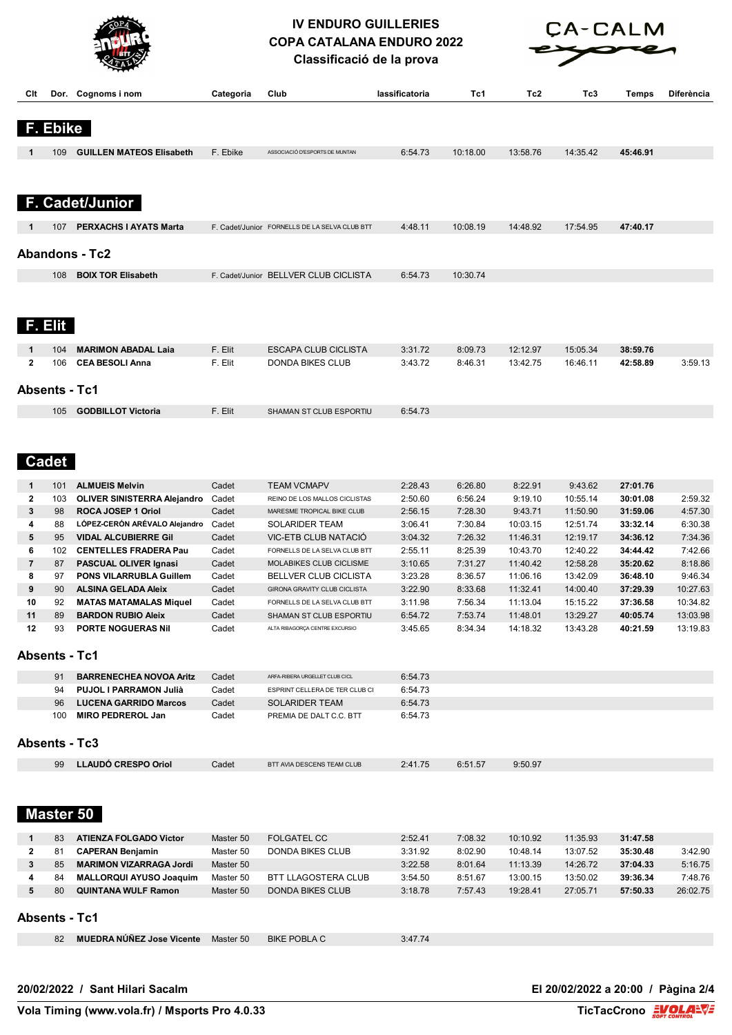



**Classificació de la prova**

| Club<br>Tc2<br>Tc3<br>Clt<br>Dor. Cognoms i nom<br>Categoria<br>lassificatoria<br>Tc1<br>Temps<br><b>Ebike</b><br>F. Ebike<br>45:46.91<br><b>GUILLEN MATEOS Elisabeth</b><br>ASSOCIACIÓ D'ESPORTS DE MUNTAN<br>6:54.73<br>10:18.00<br>13:58.76<br>14:35.42<br>109<br>F. Cadet/Junior<br>4:48.11<br>47:40.17<br><b>PERXACHS I AYATS Marta</b><br>10:08.19<br>14:48.92<br>17:54.95<br>107<br>F. Cadet/Junior FORNELLS DE LA SELVA CLUB BTT<br><b>Abandons - Tc2</b><br><b>BOIX TOR Elisabeth</b><br>F. Cadet/Junior BELLVER CLUB CICLISTA<br>10:30.74<br>108<br>6:54.73<br>F. Elit<br>F. Elit<br><b>ESCAPA CLUB CICLISTA</b><br>3:31.72<br>8:09.73<br>12:12.97<br><b>MARIMON ABADAL Laia</b><br>15:05.34<br>38:59.76<br>104<br>1<br>$\mathbf{2}$<br><b>CEA BESOLI Anna</b><br>F. Elit<br>DONDA BIKES CLUB<br>3:43.72<br>8:46.31<br>13:42.75<br>16:46.11<br>42:58.89<br>106<br><b>Absents - Tc1</b><br>F. Elit<br><b>GODBILLOT Victoria</b><br>6:54.73<br>SHAMAN ST CLUB ESPORTIU<br>105<br><b>Cadet</b><br>1<br><b>ALMUEIS Melvin</b><br>Cadet<br><b>TEAM VCMAPV</b><br>2:28.43<br>6:26.80<br>8:22.91<br>9:43.62<br>27:01.76<br>101<br>$\mathbf{2}$<br>Cadet<br>2:50.60<br>6:56.24<br>9:19.10<br>10:55.14<br>30:01.08<br>103<br>OLIVER SINISTERRA Alejandro<br>REINO DE LOS MALLOS CICLISTAS<br>3<br>ROCA JOSEP 1 Oriol<br>Cadet<br>2:56.15<br>7:28.30<br>9:43.71<br>11:50.90<br>31:59.06<br>98<br>MARESME TROPICAL BIKE CLUB<br>4<br>LÓPEZ-CERÓN ARÉVALO Alejandro<br>Cadet<br>3:06.41<br>7:30.84<br>10:03.15<br>12:51.74<br>33:32.14<br>6:30.38<br>88<br><b>SOLARIDER TEAM</b><br>5<br><b>VIDAL ALCUBIERRE Gil</b><br>Cadet<br>3:04.32<br>7:26.32<br>11:46.31<br>12:19.17<br>34:36.12<br>95<br>VIC-ETB CLUB NATACIO<br>6<br><b>CENTELLES FRADERA Pau</b><br>Cadet<br>2:55.11<br>8:25.39<br>10:43.70<br>12:40.22<br>34:44.42<br>102<br>FORNELLS DE LA SELVA CLUB BTT<br>7<br>Cadet<br>3:10.65<br>7:31.27<br>11:40.42<br>12:58.28<br>35:20.62<br>87<br><b>PASCUAL OLIVER Ignasi</b><br>MOLABIKES CLUB CICLISME<br>8<br>97<br><b>PONS VILARRUBLA Guillem</b><br>Cadet<br>3:23.28<br>8:36.57<br>11:06.16<br>13:42.09<br>36:48.10<br>9:46.34<br>BELLVER CLUB CICLISTA<br>9<br><b>ALSINA GELADA Aleix</b><br>Cadet<br>3:22.90<br>8:33.68<br>11:32.41<br>14:00.40<br>37:29.39<br>90<br>GIRONA GRAVITY CLUB CICLISTA<br>10<br><b>MATAS MATAMALAS Miquel</b><br>Cadet<br>3:11.98<br>7:56.34<br>11:13.04<br>15:15.22<br>37:36.58<br>92<br>FORNELLS DE LA SELVA CLUB BTT<br>11<br>89<br>6:54.72<br>7:53.74<br>11:48.01<br>13:29.27<br>40:05.74<br><b>BARDON RUBIO Aleix</b><br>Cadet<br>SHAMAN ST CLUB ESPORTIU<br>12<br>93<br><b>PORTE NOGUERAS Nil</b><br>Cadet<br>3:45.65<br>8:34.34<br>14:18.32<br>13:43.28<br>40:21.59<br>13:19.83<br>ALTA RIBAGORÇA CENTRE EXCURSIO<br><b>Absents - Tc1</b><br><b>BARRENECHEA NOVOA Aritz</b><br>Cadet<br>6:54.73<br>91<br>ARFA-RIBERA URGELLET CLUB CICL<br>PUJOL I PARRAMON Julià<br>Cadet<br>6:54.73<br>94<br>ESPRINT CELLERA DE TER CLUB CI<br><b>LUCENA GARRIDO Marcos</b><br>Cadet<br>6:54.73<br>96<br><b>SOLARIDER TEAM</b><br><b>MIRO PEDREROL Jan</b><br>Cadet<br>6:54.73<br>100<br>PREMIA DE DALT C.C. BTT<br><b>Absents - Tc3</b><br><b>LLAUDÓ CRESPO Oriol</b><br>99<br>Cadet<br>2:41.75<br>6:51.57<br>9:50.97<br>BTT AVIA DESCENS TEAM CLUB<br>Master 50<br><b>ATIENZA FOLGADO Victor</b><br><b>FOLGATEL CC</b><br>2:52.41<br>7:08.32<br>10:10.92<br>11:35.93<br>31:47.58<br>1<br>83<br>Master 50<br>$\mathbf 2$<br>3:31.92<br>8:02.90<br>13:07.52<br>3:42.90<br><b>CAPERAN Benjamin</b><br>Master 50<br><b>DONDA BIKES CLUB</b><br>10:48.14<br>35:30.48<br>81<br>3<br>3:22.58<br>14:26.72<br><b>MARIMON VIZARRAGA Jordi</b><br>8:01.64<br>11:13.39<br>37:04.33<br>85<br>Master 50<br><b>BTT LLAGOSTERA CLUB</b><br>13:50.02<br>4<br><b>MALLORQUI AYUSO Joaquim</b><br>Master 50<br>3:54.50<br>8:51.67<br>13:00.15<br>39:36.34<br>84<br>5<br>27:05.71<br>80<br><b>QUINTANA WULF Ramon</b><br><b>DONDA BIKES CLUB</b><br>3:18.78<br>7:57.43<br>19:28.41<br>57:50.33<br>Master 50<br><b>Absents - Tc1</b><br><b>MUEDRA NÚÑEZ Jose Vicente</b><br>Master 50<br><b>BIKE POBLA C</b><br>3:47.74<br>82 |  | $\widetilde{\phantom{a}}$ |  |  |  |                   |
|------------------------------------------------------------------------------------------------------------------------------------------------------------------------------------------------------------------------------------------------------------------------------------------------------------------------------------------------------------------------------------------------------------------------------------------------------------------------------------------------------------------------------------------------------------------------------------------------------------------------------------------------------------------------------------------------------------------------------------------------------------------------------------------------------------------------------------------------------------------------------------------------------------------------------------------------------------------------------------------------------------------------------------------------------------------------------------------------------------------------------------------------------------------------------------------------------------------------------------------------------------------------------------------------------------------------------------------------------------------------------------------------------------------------------------------------------------------------------------------------------------------------------------------------------------------------------------------------------------------------------------------------------------------------------------------------------------------------------------------------------------------------------------------------------------------------------------------------------------------------------------------------------------------------------------------------------------------------------------------------------------------------------------------------------------------------------------------------------------------------------------------------------------------------------------------------------------------------------------------------------------------------------------------------------------------------------------------------------------------------------------------------------------------------------------------------------------------------------------------------------------------------------------------------------------------------------------------------------------------------------------------------------------------------------------------------------------------------------------------------------------------------------------------------------------------------------------------------------------------------------------------------------------------------------------------------------------------------------------------------------------------------------------------------------------------------------------------------------------------------------------------------------------------------------------------------------------------------------------------------------------------------------------------------------------------------------------------------------------------------------------------------------------------------------------------------------------------------------------------------------------------------------------------------------------------------------------------------------------------------------------------------------------------------------------------------------------------------------------------------------------------------------------------------------------------------------------------------------------------------------------------------------------------------------------------------------------------------------------------------------------------------------------------------------------------------------------------------------------------------------------------|--|---------------------------|--|--|--|-------------------|
|                                                                                                                                                                                                                                                                                                                                                                                                                                                                                                                                                                                                                                                                                                                                                                                                                                                                                                                                                                                                                                                                                                                                                                                                                                                                                                                                                                                                                                                                                                                                                                                                                                                                                                                                                                                                                                                                                                                                                                                                                                                                                                                                                                                                                                                                                                                                                                                                                                                                                                                                                                                                                                                                                                                                                                                                                                                                                                                                                                                                                                                                                                                                                                                                                                                                                                                                                                                                                                                                                                                                                                                                                                                                                                                                                                                                                                                                                                                                                                                                                                                                                                                                          |  |                           |  |  |  | <b>Diferència</b> |
|                                                                                                                                                                                                                                                                                                                                                                                                                                                                                                                                                                                                                                                                                                                                                                                                                                                                                                                                                                                                                                                                                                                                                                                                                                                                                                                                                                                                                                                                                                                                                                                                                                                                                                                                                                                                                                                                                                                                                                                                                                                                                                                                                                                                                                                                                                                                                                                                                                                                                                                                                                                                                                                                                                                                                                                                                                                                                                                                                                                                                                                                                                                                                                                                                                                                                                                                                                                                                                                                                                                                                                                                                                                                                                                                                                                                                                                                                                                                                                                                                                                                                                                                          |  |                           |  |  |  |                   |
|                                                                                                                                                                                                                                                                                                                                                                                                                                                                                                                                                                                                                                                                                                                                                                                                                                                                                                                                                                                                                                                                                                                                                                                                                                                                                                                                                                                                                                                                                                                                                                                                                                                                                                                                                                                                                                                                                                                                                                                                                                                                                                                                                                                                                                                                                                                                                                                                                                                                                                                                                                                                                                                                                                                                                                                                                                                                                                                                                                                                                                                                                                                                                                                                                                                                                                                                                                                                                                                                                                                                                                                                                                                                                                                                                                                                                                                                                                                                                                                                                                                                                                                                          |  |                           |  |  |  |                   |
|                                                                                                                                                                                                                                                                                                                                                                                                                                                                                                                                                                                                                                                                                                                                                                                                                                                                                                                                                                                                                                                                                                                                                                                                                                                                                                                                                                                                                                                                                                                                                                                                                                                                                                                                                                                                                                                                                                                                                                                                                                                                                                                                                                                                                                                                                                                                                                                                                                                                                                                                                                                                                                                                                                                                                                                                                                                                                                                                                                                                                                                                                                                                                                                                                                                                                                                                                                                                                                                                                                                                                                                                                                                                                                                                                                                                                                                                                                                                                                                                                                                                                                                                          |  |                           |  |  |  |                   |
|                                                                                                                                                                                                                                                                                                                                                                                                                                                                                                                                                                                                                                                                                                                                                                                                                                                                                                                                                                                                                                                                                                                                                                                                                                                                                                                                                                                                                                                                                                                                                                                                                                                                                                                                                                                                                                                                                                                                                                                                                                                                                                                                                                                                                                                                                                                                                                                                                                                                                                                                                                                                                                                                                                                                                                                                                                                                                                                                                                                                                                                                                                                                                                                                                                                                                                                                                                                                                                                                                                                                                                                                                                                                                                                                                                                                                                                                                                                                                                                                                                                                                                                                          |  |                           |  |  |  |                   |
|                                                                                                                                                                                                                                                                                                                                                                                                                                                                                                                                                                                                                                                                                                                                                                                                                                                                                                                                                                                                                                                                                                                                                                                                                                                                                                                                                                                                                                                                                                                                                                                                                                                                                                                                                                                                                                                                                                                                                                                                                                                                                                                                                                                                                                                                                                                                                                                                                                                                                                                                                                                                                                                                                                                                                                                                                                                                                                                                                                                                                                                                                                                                                                                                                                                                                                                                                                                                                                                                                                                                                                                                                                                                                                                                                                                                                                                                                                                                                                                                                                                                                                                                          |  |                           |  |  |  |                   |
|                                                                                                                                                                                                                                                                                                                                                                                                                                                                                                                                                                                                                                                                                                                                                                                                                                                                                                                                                                                                                                                                                                                                                                                                                                                                                                                                                                                                                                                                                                                                                                                                                                                                                                                                                                                                                                                                                                                                                                                                                                                                                                                                                                                                                                                                                                                                                                                                                                                                                                                                                                                                                                                                                                                                                                                                                                                                                                                                                                                                                                                                                                                                                                                                                                                                                                                                                                                                                                                                                                                                                                                                                                                                                                                                                                                                                                                                                                                                                                                                                                                                                                                                          |  |                           |  |  |  |                   |
|                                                                                                                                                                                                                                                                                                                                                                                                                                                                                                                                                                                                                                                                                                                                                                                                                                                                                                                                                                                                                                                                                                                                                                                                                                                                                                                                                                                                                                                                                                                                                                                                                                                                                                                                                                                                                                                                                                                                                                                                                                                                                                                                                                                                                                                                                                                                                                                                                                                                                                                                                                                                                                                                                                                                                                                                                                                                                                                                                                                                                                                                                                                                                                                                                                                                                                                                                                                                                                                                                                                                                                                                                                                                                                                                                                                                                                                                                                                                                                                                                                                                                                                                          |  |                           |  |  |  |                   |
|                                                                                                                                                                                                                                                                                                                                                                                                                                                                                                                                                                                                                                                                                                                                                                                                                                                                                                                                                                                                                                                                                                                                                                                                                                                                                                                                                                                                                                                                                                                                                                                                                                                                                                                                                                                                                                                                                                                                                                                                                                                                                                                                                                                                                                                                                                                                                                                                                                                                                                                                                                                                                                                                                                                                                                                                                                                                                                                                                                                                                                                                                                                                                                                                                                                                                                                                                                                                                                                                                                                                                                                                                                                                                                                                                                                                                                                                                                                                                                                                                                                                                                                                          |  |                           |  |  |  |                   |
|                                                                                                                                                                                                                                                                                                                                                                                                                                                                                                                                                                                                                                                                                                                                                                                                                                                                                                                                                                                                                                                                                                                                                                                                                                                                                                                                                                                                                                                                                                                                                                                                                                                                                                                                                                                                                                                                                                                                                                                                                                                                                                                                                                                                                                                                                                                                                                                                                                                                                                                                                                                                                                                                                                                                                                                                                                                                                                                                                                                                                                                                                                                                                                                                                                                                                                                                                                                                                                                                                                                                                                                                                                                                                                                                                                                                                                                                                                                                                                                                                                                                                                                                          |  |                           |  |  |  |                   |
|                                                                                                                                                                                                                                                                                                                                                                                                                                                                                                                                                                                                                                                                                                                                                                                                                                                                                                                                                                                                                                                                                                                                                                                                                                                                                                                                                                                                                                                                                                                                                                                                                                                                                                                                                                                                                                                                                                                                                                                                                                                                                                                                                                                                                                                                                                                                                                                                                                                                                                                                                                                                                                                                                                                                                                                                                                                                                                                                                                                                                                                                                                                                                                                                                                                                                                                                                                                                                                                                                                                                                                                                                                                                                                                                                                                                                                                                                                                                                                                                                                                                                                                                          |  |                           |  |  |  |                   |
|                                                                                                                                                                                                                                                                                                                                                                                                                                                                                                                                                                                                                                                                                                                                                                                                                                                                                                                                                                                                                                                                                                                                                                                                                                                                                                                                                                                                                                                                                                                                                                                                                                                                                                                                                                                                                                                                                                                                                                                                                                                                                                                                                                                                                                                                                                                                                                                                                                                                                                                                                                                                                                                                                                                                                                                                                                                                                                                                                                                                                                                                                                                                                                                                                                                                                                                                                                                                                                                                                                                                                                                                                                                                                                                                                                                                                                                                                                                                                                                                                                                                                                                                          |  |                           |  |  |  |                   |
|                                                                                                                                                                                                                                                                                                                                                                                                                                                                                                                                                                                                                                                                                                                                                                                                                                                                                                                                                                                                                                                                                                                                                                                                                                                                                                                                                                                                                                                                                                                                                                                                                                                                                                                                                                                                                                                                                                                                                                                                                                                                                                                                                                                                                                                                                                                                                                                                                                                                                                                                                                                                                                                                                                                                                                                                                                                                                                                                                                                                                                                                                                                                                                                                                                                                                                                                                                                                                                                                                                                                                                                                                                                                                                                                                                                                                                                                                                                                                                                                                                                                                                                                          |  |                           |  |  |  |                   |
|                                                                                                                                                                                                                                                                                                                                                                                                                                                                                                                                                                                                                                                                                                                                                                                                                                                                                                                                                                                                                                                                                                                                                                                                                                                                                                                                                                                                                                                                                                                                                                                                                                                                                                                                                                                                                                                                                                                                                                                                                                                                                                                                                                                                                                                                                                                                                                                                                                                                                                                                                                                                                                                                                                                                                                                                                                                                                                                                                                                                                                                                                                                                                                                                                                                                                                                                                                                                                                                                                                                                                                                                                                                                                                                                                                                                                                                                                                                                                                                                                                                                                                                                          |  |                           |  |  |  |                   |
|                                                                                                                                                                                                                                                                                                                                                                                                                                                                                                                                                                                                                                                                                                                                                                                                                                                                                                                                                                                                                                                                                                                                                                                                                                                                                                                                                                                                                                                                                                                                                                                                                                                                                                                                                                                                                                                                                                                                                                                                                                                                                                                                                                                                                                                                                                                                                                                                                                                                                                                                                                                                                                                                                                                                                                                                                                                                                                                                                                                                                                                                                                                                                                                                                                                                                                                                                                                                                                                                                                                                                                                                                                                                                                                                                                                                                                                                                                                                                                                                                                                                                                                                          |  |                           |  |  |  |                   |
|                                                                                                                                                                                                                                                                                                                                                                                                                                                                                                                                                                                                                                                                                                                                                                                                                                                                                                                                                                                                                                                                                                                                                                                                                                                                                                                                                                                                                                                                                                                                                                                                                                                                                                                                                                                                                                                                                                                                                                                                                                                                                                                                                                                                                                                                                                                                                                                                                                                                                                                                                                                                                                                                                                                                                                                                                                                                                                                                                                                                                                                                                                                                                                                                                                                                                                                                                                                                                                                                                                                                                                                                                                                                                                                                                                                                                                                                                                                                                                                                                                                                                                                                          |  |                           |  |  |  | 3:59.13           |
|                                                                                                                                                                                                                                                                                                                                                                                                                                                                                                                                                                                                                                                                                                                                                                                                                                                                                                                                                                                                                                                                                                                                                                                                                                                                                                                                                                                                                                                                                                                                                                                                                                                                                                                                                                                                                                                                                                                                                                                                                                                                                                                                                                                                                                                                                                                                                                                                                                                                                                                                                                                                                                                                                                                                                                                                                                                                                                                                                                                                                                                                                                                                                                                                                                                                                                                                                                                                                                                                                                                                                                                                                                                                                                                                                                                                                                                                                                                                                                                                                                                                                                                                          |  |                           |  |  |  |                   |
|                                                                                                                                                                                                                                                                                                                                                                                                                                                                                                                                                                                                                                                                                                                                                                                                                                                                                                                                                                                                                                                                                                                                                                                                                                                                                                                                                                                                                                                                                                                                                                                                                                                                                                                                                                                                                                                                                                                                                                                                                                                                                                                                                                                                                                                                                                                                                                                                                                                                                                                                                                                                                                                                                                                                                                                                                                                                                                                                                                                                                                                                                                                                                                                                                                                                                                                                                                                                                                                                                                                                                                                                                                                                                                                                                                                                                                                                                                                                                                                                                                                                                                                                          |  |                           |  |  |  |                   |
|                                                                                                                                                                                                                                                                                                                                                                                                                                                                                                                                                                                                                                                                                                                                                                                                                                                                                                                                                                                                                                                                                                                                                                                                                                                                                                                                                                                                                                                                                                                                                                                                                                                                                                                                                                                                                                                                                                                                                                                                                                                                                                                                                                                                                                                                                                                                                                                                                                                                                                                                                                                                                                                                                                                                                                                                                                                                                                                                                                                                                                                                                                                                                                                                                                                                                                                                                                                                                                                                                                                                                                                                                                                                                                                                                                                                                                                                                                                                                                                                                                                                                                                                          |  |                           |  |  |  |                   |
|                                                                                                                                                                                                                                                                                                                                                                                                                                                                                                                                                                                                                                                                                                                                                                                                                                                                                                                                                                                                                                                                                                                                                                                                                                                                                                                                                                                                                                                                                                                                                                                                                                                                                                                                                                                                                                                                                                                                                                                                                                                                                                                                                                                                                                                                                                                                                                                                                                                                                                                                                                                                                                                                                                                                                                                                                                                                                                                                                                                                                                                                                                                                                                                                                                                                                                                                                                                                                                                                                                                                                                                                                                                                                                                                                                                                                                                                                                                                                                                                                                                                                                                                          |  |                           |  |  |  |                   |
|                                                                                                                                                                                                                                                                                                                                                                                                                                                                                                                                                                                                                                                                                                                                                                                                                                                                                                                                                                                                                                                                                                                                                                                                                                                                                                                                                                                                                                                                                                                                                                                                                                                                                                                                                                                                                                                                                                                                                                                                                                                                                                                                                                                                                                                                                                                                                                                                                                                                                                                                                                                                                                                                                                                                                                                                                                                                                                                                                                                                                                                                                                                                                                                                                                                                                                                                                                                                                                                                                                                                                                                                                                                                                                                                                                                                                                                                                                                                                                                                                                                                                                                                          |  |                           |  |  |  |                   |
|                                                                                                                                                                                                                                                                                                                                                                                                                                                                                                                                                                                                                                                                                                                                                                                                                                                                                                                                                                                                                                                                                                                                                                                                                                                                                                                                                                                                                                                                                                                                                                                                                                                                                                                                                                                                                                                                                                                                                                                                                                                                                                                                                                                                                                                                                                                                                                                                                                                                                                                                                                                                                                                                                                                                                                                                                                                                                                                                                                                                                                                                                                                                                                                                                                                                                                                                                                                                                                                                                                                                                                                                                                                                                                                                                                                                                                                                                                                                                                                                                                                                                                                                          |  |                           |  |  |  |                   |
|                                                                                                                                                                                                                                                                                                                                                                                                                                                                                                                                                                                                                                                                                                                                                                                                                                                                                                                                                                                                                                                                                                                                                                                                                                                                                                                                                                                                                                                                                                                                                                                                                                                                                                                                                                                                                                                                                                                                                                                                                                                                                                                                                                                                                                                                                                                                                                                                                                                                                                                                                                                                                                                                                                                                                                                                                                                                                                                                                                                                                                                                                                                                                                                                                                                                                                                                                                                                                                                                                                                                                                                                                                                                                                                                                                                                                                                                                                                                                                                                                                                                                                                                          |  |                           |  |  |  |                   |
|                                                                                                                                                                                                                                                                                                                                                                                                                                                                                                                                                                                                                                                                                                                                                                                                                                                                                                                                                                                                                                                                                                                                                                                                                                                                                                                                                                                                                                                                                                                                                                                                                                                                                                                                                                                                                                                                                                                                                                                                                                                                                                                                                                                                                                                                                                                                                                                                                                                                                                                                                                                                                                                                                                                                                                                                                                                                                                                                                                                                                                                                                                                                                                                                                                                                                                                                                                                                                                                                                                                                                                                                                                                                                                                                                                                                                                                                                                                                                                                                                                                                                                                                          |  |                           |  |  |  | 2:59.32           |
|                                                                                                                                                                                                                                                                                                                                                                                                                                                                                                                                                                                                                                                                                                                                                                                                                                                                                                                                                                                                                                                                                                                                                                                                                                                                                                                                                                                                                                                                                                                                                                                                                                                                                                                                                                                                                                                                                                                                                                                                                                                                                                                                                                                                                                                                                                                                                                                                                                                                                                                                                                                                                                                                                                                                                                                                                                                                                                                                                                                                                                                                                                                                                                                                                                                                                                                                                                                                                                                                                                                                                                                                                                                                                                                                                                                                                                                                                                                                                                                                                                                                                                                                          |  |                           |  |  |  | 4:57.30           |
|                                                                                                                                                                                                                                                                                                                                                                                                                                                                                                                                                                                                                                                                                                                                                                                                                                                                                                                                                                                                                                                                                                                                                                                                                                                                                                                                                                                                                                                                                                                                                                                                                                                                                                                                                                                                                                                                                                                                                                                                                                                                                                                                                                                                                                                                                                                                                                                                                                                                                                                                                                                                                                                                                                                                                                                                                                                                                                                                                                                                                                                                                                                                                                                                                                                                                                                                                                                                                                                                                                                                                                                                                                                                                                                                                                                                                                                                                                                                                                                                                                                                                                                                          |  |                           |  |  |  | 7:34.36           |
|                                                                                                                                                                                                                                                                                                                                                                                                                                                                                                                                                                                                                                                                                                                                                                                                                                                                                                                                                                                                                                                                                                                                                                                                                                                                                                                                                                                                                                                                                                                                                                                                                                                                                                                                                                                                                                                                                                                                                                                                                                                                                                                                                                                                                                                                                                                                                                                                                                                                                                                                                                                                                                                                                                                                                                                                                                                                                                                                                                                                                                                                                                                                                                                                                                                                                                                                                                                                                                                                                                                                                                                                                                                                                                                                                                                                                                                                                                                                                                                                                                                                                                                                          |  |                           |  |  |  | 7:42.66           |
|                                                                                                                                                                                                                                                                                                                                                                                                                                                                                                                                                                                                                                                                                                                                                                                                                                                                                                                                                                                                                                                                                                                                                                                                                                                                                                                                                                                                                                                                                                                                                                                                                                                                                                                                                                                                                                                                                                                                                                                                                                                                                                                                                                                                                                                                                                                                                                                                                                                                                                                                                                                                                                                                                                                                                                                                                                                                                                                                                                                                                                                                                                                                                                                                                                                                                                                                                                                                                                                                                                                                                                                                                                                                                                                                                                                                                                                                                                                                                                                                                                                                                                                                          |  |                           |  |  |  | 8:18.86           |
|                                                                                                                                                                                                                                                                                                                                                                                                                                                                                                                                                                                                                                                                                                                                                                                                                                                                                                                                                                                                                                                                                                                                                                                                                                                                                                                                                                                                                                                                                                                                                                                                                                                                                                                                                                                                                                                                                                                                                                                                                                                                                                                                                                                                                                                                                                                                                                                                                                                                                                                                                                                                                                                                                                                                                                                                                                                                                                                                                                                                                                                                                                                                                                                                                                                                                                                                                                                                                                                                                                                                                                                                                                                                                                                                                                                                                                                                                                                                                                                                                                                                                                                                          |  |                           |  |  |  | 10:27.63          |
|                                                                                                                                                                                                                                                                                                                                                                                                                                                                                                                                                                                                                                                                                                                                                                                                                                                                                                                                                                                                                                                                                                                                                                                                                                                                                                                                                                                                                                                                                                                                                                                                                                                                                                                                                                                                                                                                                                                                                                                                                                                                                                                                                                                                                                                                                                                                                                                                                                                                                                                                                                                                                                                                                                                                                                                                                                                                                                                                                                                                                                                                                                                                                                                                                                                                                                                                                                                                                                                                                                                                                                                                                                                                                                                                                                                                                                                                                                                                                                                                                                                                                                                                          |  |                           |  |  |  | 10:34.82          |
|                                                                                                                                                                                                                                                                                                                                                                                                                                                                                                                                                                                                                                                                                                                                                                                                                                                                                                                                                                                                                                                                                                                                                                                                                                                                                                                                                                                                                                                                                                                                                                                                                                                                                                                                                                                                                                                                                                                                                                                                                                                                                                                                                                                                                                                                                                                                                                                                                                                                                                                                                                                                                                                                                                                                                                                                                                                                                                                                                                                                                                                                                                                                                                                                                                                                                                                                                                                                                                                                                                                                                                                                                                                                                                                                                                                                                                                                                                                                                                                                                                                                                                                                          |  |                           |  |  |  | 13:03.98          |
|                                                                                                                                                                                                                                                                                                                                                                                                                                                                                                                                                                                                                                                                                                                                                                                                                                                                                                                                                                                                                                                                                                                                                                                                                                                                                                                                                                                                                                                                                                                                                                                                                                                                                                                                                                                                                                                                                                                                                                                                                                                                                                                                                                                                                                                                                                                                                                                                                                                                                                                                                                                                                                                                                                                                                                                                                                                                                                                                                                                                                                                                                                                                                                                                                                                                                                                                                                                                                                                                                                                                                                                                                                                                                                                                                                                                                                                                                                                                                                                                                                                                                                                                          |  |                           |  |  |  |                   |
|                                                                                                                                                                                                                                                                                                                                                                                                                                                                                                                                                                                                                                                                                                                                                                                                                                                                                                                                                                                                                                                                                                                                                                                                                                                                                                                                                                                                                                                                                                                                                                                                                                                                                                                                                                                                                                                                                                                                                                                                                                                                                                                                                                                                                                                                                                                                                                                                                                                                                                                                                                                                                                                                                                                                                                                                                                                                                                                                                                                                                                                                                                                                                                                                                                                                                                                                                                                                                                                                                                                                                                                                                                                                                                                                                                                                                                                                                                                                                                                                                                                                                                                                          |  |                           |  |  |  |                   |
|                                                                                                                                                                                                                                                                                                                                                                                                                                                                                                                                                                                                                                                                                                                                                                                                                                                                                                                                                                                                                                                                                                                                                                                                                                                                                                                                                                                                                                                                                                                                                                                                                                                                                                                                                                                                                                                                                                                                                                                                                                                                                                                                                                                                                                                                                                                                                                                                                                                                                                                                                                                                                                                                                                                                                                                                                                                                                                                                                                                                                                                                                                                                                                                                                                                                                                                                                                                                                                                                                                                                                                                                                                                                                                                                                                                                                                                                                                                                                                                                                                                                                                                                          |  |                           |  |  |  |                   |
|                                                                                                                                                                                                                                                                                                                                                                                                                                                                                                                                                                                                                                                                                                                                                                                                                                                                                                                                                                                                                                                                                                                                                                                                                                                                                                                                                                                                                                                                                                                                                                                                                                                                                                                                                                                                                                                                                                                                                                                                                                                                                                                                                                                                                                                                                                                                                                                                                                                                                                                                                                                                                                                                                                                                                                                                                                                                                                                                                                                                                                                                                                                                                                                                                                                                                                                                                                                                                                                                                                                                                                                                                                                                                                                                                                                                                                                                                                                                                                                                                                                                                                                                          |  |                           |  |  |  |                   |
|                                                                                                                                                                                                                                                                                                                                                                                                                                                                                                                                                                                                                                                                                                                                                                                                                                                                                                                                                                                                                                                                                                                                                                                                                                                                                                                                                                                                                                                                                                                                                                                                                                                                                                                                                                                                                                                                                                                                                                                                                                                                                                                                                                                                                                                                                                                                                                                                                                                                                                                                                                                                                                                                                                                                                                                                                                                                                                                                                                                                                                                                                                                                                                                                                                                                                                                                                                                                                                                                                                                                                                                                                                                                                                                                                                                                                                                                                                                                                                                                                                                                                                                                          |  |                           |  |  |  |                   |
|                                                                                                                                                                                                                                                                                                                                                                                                                                                                                                                                                                                                                                                                                                                                                                                                                                                                                                                                                                                                                                                                                                                                                                                                                                                                                                                                                                                                                                                                                                                                                                                                                                                                                                                                                                                                                                                                                                                                                                                                                                                                                                                                                                                                                                                                                                                                                                                                                                                                                                                                                                                                                                                                                                                                                                                                                                                                                                                                                                                                                                                                                                                                                                                                                                                                                                                                                                                                                                                                                                                                                                                                                                                                                                                                                                                                                                                                                                                                                                                                                                                                                                                                          |  |                           |  |  |  |                   |
|                                                                                                                                                                                                                                                                                                                                                                                                                                                                                                                                                                                                                                                                                                                                                                                                                                                                                                                                                                                                                                                                                                                                                                                                                                                                                                                                                                                                                                                                                                                                                                                                                                                                                                                                                                                                                                                                                                                                                                                                                                                                                                                                                                                                                                                                                                                                                                                                                                                                                                                                                                                                                                                                                                                                                                                                                                                                                                                                                                                                                                                                                                                                                                                                                                                                                                                                                                                                                                                                                                                                                                                                                                                                                                                                                                                                                                                                                                                                                                                                                                                                                                                                          |  |                           |  |  |  |                   |
|                                                                                                                                                                                                                                                                                                                                                                                                                                                                                                                                                                                                                                                                                                                                                                                                                                                                                                                                                                                                                                                                                                                                                                                                                                                                                                                                                                                                                                                                                                                                                                                                                                                                                                                                                                                                                                                                                                                                                                                                                                                                                                                                                                                                                                                                                                                                                                                                                                                                                                                                                                                                                                                                                                                                                                                                                                                                                                                                                                                                                                                                                                                                                                                                                                                                                                                                                                                                                                                                                                                                                                                                                                                                                                                                                                                                                                                                                                                                                                                                                                                                                                                                          |  |                           |  |  |  |                   |
|                                                                                                                                                                                                                                                                                                                                                                                                                                                                                                                                                                                                                                                                                                                                                                                                                                                                                                                                                                                                                                                                                                                                                                                                                                                                                                                                                                                                                                                                                                                                                                                                                                                                                                                                                                                                                                                                                                                                                                                                                                                                                                                                                                                                                                                                                                                                                                                                                                                                                                                                                                                                                                                                                                                                                                                                                                                                                                                                                                                                                                                                                                                                                                                                                                                                                                                                                                                                                                                                                                                                                                                                                                                                                                                                                                                                                                                                                                                                                                                                                                                                                                                                          |  |                           |  |  |  |                   |
|                                                                                                                                                                                                                                                                                                                                                                                                                                                                                                                                                                                                                                                                                                                                                                                                                                                                                                                                                                                                                                                                                                                                                                                                                                                                                                                                                                                                                                                                                                                                                                                                                                                                                                                                                                                                                                                                                                                                                                                                                                                                                                                                                                                                                                                                                                                                                                                                                                                                                                                                                                                                                                                                                                                                                                                                                                                                                                                                                                                                                                                                                                                                                                                                                                                                                                                                                                                                                                                                                                                                                                                                                                                                                                                                                                                                                                                                                                                                                                                                                                                                                                                                          |  |                           |  |  |  |                   |
|                                                                                                                                                                                                                                                                                                                                                                                                                                                                                                                                                                                                                                                                                                                                                                                                                                                                                                                                                                                                                                                                                                                                                                                                                                                                                                                                                                                                                                                                                                                                                                                                                                                                                                                                                                                                                                                                                                                                                                                                                                                                                                                                                                                                                                                                                                                                                                                                                                                                                                                                                                                                                                                                                                                                                                                                                                                                                                                                                                                                                                                                                                                                                                                                                                                                                                                                                                                                                                                                                                                                                                                                                                                                                                                                                                                                                                                                                                                                                                                                                                                                                                                                          |  |                           |  |  |  |                   |
|                                                                                                                                                                                                                                                                                                                                                                                                                                                                                                                                                                                                                                                                                                                                                                                                                                                                                                                                                                                                                                                                                                                                                                                                                                                                                                                                                                                                                                                                                                                                                                                                                                                                                                                                                                                                                                                                                                                                                                                                                                                                                                                                                                                                                                                                                                                                                                                                                                                                                                                                                                                                                                                                                                                                                                                                                                                                                                                                                                                                                                                                                                                                                                                                                                                                                                                                                                                                                                                                                                                                                                                                                                                                                                                                                                                                                                                                                                                                                                                                                                                                                                                                          |  |                           |  |  |  |                   |
|                                                                                                                                                                                                                                                                                                                                                                                                                                                                                                                                                                                                                                                                                                                                                                                                                                                                                                                                                                                                                                                                                                                                                                                                                                                                                                                                                                                                                                                                                                                                                                                                                                                                                                                                                                                                                                                                                                                                                                                                                                                                                                                                                                                                                                                                                                                                                                                                                                                                                                                                                                                                                                                                                                                                                                                                                                                                                                                                                                                                                                                                                                                                                                                                                                                                                                                                                                                                                                                                                                                                                                                                                                                                                                                                                                                                                                                                                                                                                                                                                                                                                                                                          |  |                           |  |  |  |                   |
|                                                                                                                                                                                                                                                                                                                                                                                                                                                                                                                                                                                                                                                                                                                                                                                                                                                                                                                                                                                                                                                                                                                                                                                                                                                                                                                                                                                                                                                                                                                                                                                                                                                                                                                                                                                                                                                                                                                                                                                                                                                                                                                                                                                                                                                                                                                                                                                                                                                                                                                                                                                                                                                                                                                                                                                                                                                                                                                                                                                                                                                                                                                                                                                                                                                                                                                                                                                                                                                                                                                                                                                                                                                                                                                                                                                                                                                                                                                                                                                                                                                                                                                                          |  |                           |  |  |  | 5:16.75           |
|                                                                                                                                                                                                                                                                                                                                                                                                                                                                                                                                                                                                                                                                                                                                                                                                                                                                                                                                                                                                                                                                                                                                                                                                                                                                                                                                                                                                                                                                                                                                                                                                                                                                                                                                                                                                                                                                                                                                                                                                                                                                                                                                                                                                                                                                                                                                                                                                                                                                                                                                                                                                                                                                                                                                                                                                                                                                                                                                                                                                                                                                                                                                                                                                                                                                                                                                                                                                                                                                                                                                                                                                                                                                                                                                                                                                                                                                                                                                                                                                                                                                                                                                          |  |                           |  |  |  | 7:48.76           |
|                                                                                                                                                                                                                                                                                                                                                                                                                                                                                                                                                                                                                                                                                                                                                                                                                                                                                                                                                                                                                                                                                                                                                                                                                                                                                                                                                                                                                                                                                                                                                                                                                                                                                                                                                                                                                                                                                                                                                                                                                                                                                                                                                                                                                                                                                                                                                                                                                                                                                                                                                                                                                                                                                                                                                                                                                                                                                                                                                                                                                                                                                                                                                                                                                                                                                                                                                                                                                                                                                                                                                                                                                                                                                                                                                                                                                                                                                                                                                                                                                                                                                                                                          |  |                           |  |  |  | 26:02.75          |
|                                                                                                                                                                                                                                                                                                                                                                                                                                                                                                                                                                                                                                                                                                                                                                                                                                                                                                                                                                                                                                                                                                                                                                                                                                                                                                                                                                                                                                                                                                                                                                                                                                                                                                                                                                                                                                                                                                                                                                                                                                                                                                                                                                                                                                                                                                                                                                                                                                                                                                                                                                                                                                                                                                                                                                                                                                                                                                                                                                                                                                                                                                                                                                                                                                                                                                                                                                                                                                                                                                                                                                                                                                                                                                                                                                                                                                                                                                                                                                                                                                                                                                                                          |  |                           |  |  |  |                   |
|                                                                                                                                                                                                                                                                                                                                                                                                                                                                                                                                                                                                                                                                                                                                                                                                                                                                                                                                                                                                                                                                                                                                                                                                                                                                                                                                                                                                                                                                                                                                                                                                                                                                                                                                                                                                                                                                                                                                                                                                                                                                                                                                                                                                                                                                                                                                                                                                                                                                                                                                                                                                                                                                                                                                                                                                                                                                                                                                                                                                                                                                                                                                                                                                                                                                                                                                                                                                                                                                                                                                                                                                                                                                                                                                                                                                                                                                                                                                                                                                                                                                                                                                          |  |                           |  |  |  |                   |
|                                                                                                                                                                                                                                                                                                                                                                                                                                                                                                                                                                                                                                                                                                                                                                                                                                                                                                                                                                                                                                                                                                                                                                                                                                                                                                                                                                                                                                                                                                                                                                                                                                                                                                                                                                                                                                                                                                                                                                                                                                                                                                                                                                                                                                                                                                                                                                                                                                                                                                                                                                                                                                                                                                                                                                                                                                                                                                                                                                                                                                                                                                                                                                                                                                                                                                                                                                                                                                                                                                                                                                                                                                                                                                                                                                                                                                                                                                                                                                                                                                                                                                                                          |  |                           |  |  |  |                   |
|                                                                                                                                                                                                                                                                                                                                                                                                                                                                                                                                                                                                                                                                                                                                                                                                                                                                                                                                                                                                                                                                                                                                                                                                                                                                                                                                                                                                                                                                                                                                                                                                                                                                                                                                                                                                                                                                                                                                                                                                                                                                                                                                                                                                                                                                                                                                                                                                                                                                                                                                                                                                                                                                                                                                                                                                                                                                                                                                                                                                                                                                                                                                                                                                                                                                                                                                                                                                                                                                                                                                                                                                                                                                                                                                                                                                                                                                                                                                                                                                                                                                                                                                          |  |                           |  |  |  |                   |

**20/02/2022 / Sant Hilari Sacalm El 20/02/2022 a 20:00 / Pàgina 2/4**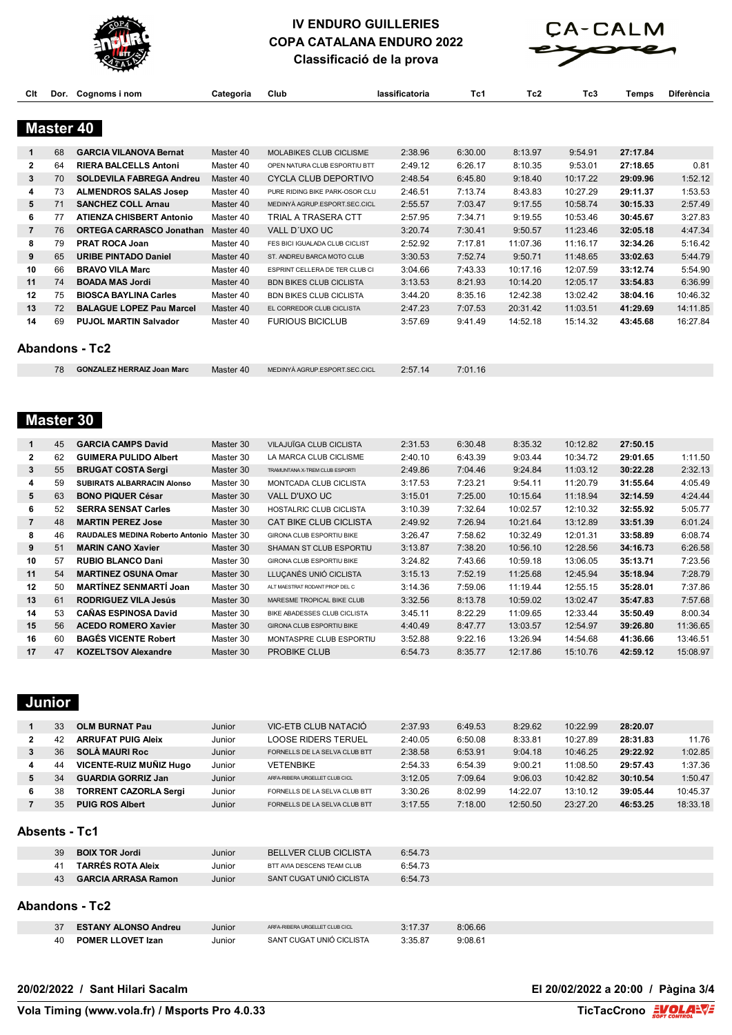



**Classificació de la prova**

|          |          |                                                                 | Classificacio de la prova |                                                                |                    |                    |                      |                      |                      |                      |  |
|----------|----------|-----------------------------------------------------------------|---------------------------|----------------------------------------------------------------|--------------------|--------------------|----------------------|----------------------|----------------------|----------------------|--|
| Clt      | Dor.     | Cognoms i nom                                                   | Categoria                 | Club                                                           | lassificatoria     | Tc1                | Tc2                  | Tc3                  | <b>Temps</b>         | <b>Diferència</b>    |  |
|          |          | Master 40                                                       |                           |                                                                |                    |                    |                      |                      |                      |                      |  |
| 1        | 68       | <b>GARCIA VILANOVA Bernat</b>                                   | Master 40                 | MOLABIKES CLUB CICLISME                                        | 2:38.96            | 6:30.00            | 8:13.97              | 9:54.91              | 27:17.84             |                      |  |
| 2        | 64       | <b>RIERA BALCELLS Antoni</b>                                    | Master 40                 | OPEN NATURA CLUB ESPORTIU BTT                                  | 2:49.12            | 6:26.17            | 8:10.35              | 9:53.01              | 27:18.65             | 0.81                 |  |
| 3        | 70       | <b>SOLDEVILA FABREGA Andreu</b>                                 | Master 40                 | CYCLA CLUB DEPORTIVO                                           | 2:48.54            | 6:45.80            | 9:18.40              | 10:17.22             | 29:09.96             | 1:52.12              |  |
| 4        | 73       | <b>ALMENDROS SALAS Josep</b>                                    | Master 40                 | PURE RIDING BIKE PARK-OSOR CLU                                 | 2:46.51            | 7:13.74            | 8:43.83              | 10:27.29             | 29:11.37             | 1:53.53              |  |
| 5        | 71       | <b>SANCHEZ COLL Arnau</b>                                       | Master 40                 | MEDINYÀ AGRUP.ESPORT.SEC.CICL                                  | 2:55.57            | 7:03.47            | 9:17.55              | 10:58.74             | 30:15.33             | 2:57.49              |  |
| 6        | 77       | <b>ATIENZA CHISBERT Antonio</b>                                 | Master 40                 | TRIAL A TRASERA CTT                                            | 2:57.95            | 7:34.71            | 9:19.55              | 10:53.46             | 30:45.67             | 3:27.83              |  |
| 7        | 76       | <b>ORTEGA CARRASCO Jonathan</b>                                 | Master 40                 | VALL D'UXO UC                                                  | 3:20.74            | 7:30.41            | 9:50.57              | 11:23.46             | 32:05.18             | 4:47.34              |  |
| 8        | 79       | <b>PRAT ROCA Joan</b>                                           | Master 40                 | FES BICI IGUALADA CLUB CICLIST                                 | 2:52.92            | 7:17.81            | 11:07.36             | 11:16.17             | 32:34.26             | 5:16.42              |  |
| 9        | 65       | URIBE PINTADO Daniel                                            | Master 40                 | ST. ANDREU BARCA MOTO CLUB                                     | 3:30.53            | 7:52.74            | 9:50.71              | 11:48.65             | 33:02.63             | 5:44.79              |  |
| 10       | 66       | <b>BRAVO VILA Marc</b>                                          | Master 40                 | ESPRINT CELLERA DE TER CLUB CI                                 | 3:04.66            | 7:43.33            | 10:17.16             | 12:07.59             | 33:12.74             | 5:54.90              |  |
| 11       | 74       | <b>BOADA MAS Jordi</b>                                          | Master 40                 | <b>BDN BIKES CLUB CICLISTA</b>                                 | 3:13.53            | 8:21.93            | 10:14.20             | 12:05.17             | 33:54.83             | 6:36.99              |  |
| 12<br>13 | 75<br>72 | <b>BIOSCA BAYLINA Carles</b><br><b>BALAGUE LOPEZ Pau Marcel</b> | Master 40                 | <b>BDN BIKES CLUB CICLISTA</b><br>EL CORREDOR CLUB CICLISTA    | 3:44.20            | 8:35.16            | 12:42.38             | 13:02.42             | 38:04.16             | 10:46.32             |  |
| 14       | 69       | <b>PUJOL MARTIN Salvador</b>                                    | Master 40<br>Master 40    | <b>FURIOUS BICICLUB</b>                                        | 2:47.23<br>3:57.69 | 7:07.53<br>9:41.49 | 20:31.42<br>14:52.18 | 11:03.51<br>15:14.32 | 41:29.69<br>43:45.68 | 14:11.85<br>16:27.84 |  |
|          |          |                                                                 |                           |                                                                |                    |                    |                      |                      |                      |                      |  |
|          |          | <b>Abandons - Tc2</b>                                           |                           |                                                                |                    |                    |                      |                      |                      |                      |  |
|          | 78       | <b>GONZALEZ HERRAIZ Joan Marc</b>                               | Master 40                 | MEDINYÀ AGRUP.ESPORT.SEC.CICL                                  | 2:57.14            | 7:01.16            |                      |                      |                      |                      |  |
|          |          | <b>Master 30</b>                                                |                           |                                                                |                    |                    |                      |                      |                      |                      |  |
| 1<br>2   | 45       | <b>GARCIA CAMPS David</b>                                       | Master 30                 | VILAJUÏGA CLUB CICLISTA                                        | 2:31.53            | 6:30.48            | 8:35.32              | 10:12.82             | 27:50.15             |                      |  |
| 3        | 62<br>55 | <b>GUIMERA PULIDO Albert</b><br><b>BRUGAT COSTA Sergi</b>       | Master 30<br>Master 30    | LA MARCA CLUB CICLISME<br>TRAMUNTANA X-TREM CLUB ESPORTI       | 2:40.10<br>2:49.86 | 6:43.39<br>7:04.46 | 9:03.44<br>9:24.84   | 10:34.72<br>11:03.12 | 29:01.65<br>30:22.28 | 1:11.50<br>2:32.13   |  |
| 4        | 59       | SUBIRATS ALBARRACIN Alonso                                      | Master 30                 | MONTCADA CLUB CICLISTA                                         | 3:17.53            | 7:23.21            | 9:54.11              | 11:20.79             | 31:55.64             | 4:05.49              |  |
| 5        | 63       | <b>BONO PIQUER César</b>                                        | Master 30                 | VALL D'UXO UC                                                  | 3:15.01            | 7:25.00            | 10:15.64             | 11:18.94             | 32:14.59             | 4:24.44              |  |
| 6        | 52       | <b>SERRA SENSAT Carles</b>                                      | Master 30                 | HOSTALRIC CLUB CICLISTA                                        | 3:10.39            | 7:32.64            | 10:02.57             | 12:10.32             | 32:55.92             | 5:05.77              |  |
| 7        | 48       | <b>MARTIN PEREZ Jose</b>                                        | Master 30                 | CAT BIKE CLUB CICLISTA                                         | 2:49.92            | 7:26.94            | 10:21.64             | 13:12.89             | 33:51.39             | 6:01.24              |  |
| 8        | 46       | RAUDALES MEDINA Roberto Antonio Master 30                       |                           | GIRONA CLUB ESPORTIU BIKE                                      | 3:26.47            | 7:58.62            | 10:32.49             | 12:01.31             | 33:58.89             | 6:08.74              |  |
| 9        | 51       | <b>MARIN CANO Xavier</b>                                        | Master 30                 | SHAMAN ST CLUB ESPORTIU                                        | 3:13.87            | 7:38.20            | 10:56.10             | 12:28.56             | 34:16.73             | 6:26.58              |  |
| 10       | 57       | <b>RUBIO BLANCO Dani</b>                                        | Master 30                 | GIRONA CLUB ESPORTIU BIKE                                      | 3:24.82            | 7:43.66            | 10:59.18             | 13:06.05             | 35:13.71             | 7:23.56              |  |
| 11       | 54       | <b>MARTINEZ OSUNA Omar</b>                                      | Master 30                 | LLUÇANÉS UNIÓ CICLISTA                                         | 3:15.13            | 7:52.19            | 11:25.68             | 12:45.94             | 35:18.94             | 7:28.79              |  |
| 12       | 50       | <b>MARTINEZ SENMARTI Joan</b>                                   | Master 30                 | ALT MAESTRAT RODANT PROP DEL C                                 | 3:14.36            | 7:59.06            | 11:19.44             | 12:55.15             | 35:28.01             | 7:37.86              |  |
| 13       | 61       | <b>RODRIGUEZ VILA Jesús</b>                                     | Master 30                 | MARESME TROPICAL BIKE CLUB                                     | 3:32.56            | 8:13.78            | 10:59.02             | 13:02.47             | 35:47.83             | 7:57.68              |  |
| 14       | 53       | <b>CANAS ESPINOSA David</b>                                     | Master 30                 | BIKE ABADESSES CLUB CICLISTA                                   | 3:45.11            | 8:22.29            | 11:09.65             | 12:33.44             | 35:50.49             | 8:00.34              |  |
| 15       | 56       | <b>ACEDO ROMERO Xavier</b>                                      | Master 30                 | GIRONA CLUB ESPORTIU BIKE                                      | 4:40.49            | 8:47.77            | 13:03.57             | 12:54.97             | 39:26.80             | 11:36.65             |  |
| 16       | 60       | <b>BAGES VICENTE Robert</b>                                     | Master 30                 | MONTASPRE CLUB ESPORTIU                                        | 3:52.88            | 9:22.16            | 13:26.94             | 14:54.68             | 41:36.66             | 13:46.51             |  |
| 17       | 47       | <b>KOZELTSOV Alexandre</b>                                      | Master 30                 | <b>PROBIKE CLUB</b>                                            | 6:54.73            | 8:35.77            | 12:17.86             | 15:10.76             | 42:59.12             | 15:08.97             |  |
|          | Junior   |                                                                 |                           |                                                                |                    |                    |                      |                      |                      |                      |  |
| 1        | 33       | <b>OLM BURNAT Pau</b>                                           | Junior                    | VIC-ETB CLUB NATACIÓ                                           | 2:37.93            | 6:49.53            | 8:29.62              | 10:22.99             | 28:20.07             |                      |  |
| 2        | 42       | <b>ARRUFAT PUIG Aleix</b>                                       | Junior                    | LOOSE RIDERS TERUEL                                            | 2:40.05            | 6:50.08            | 8:33.81              | 10:27.89             | 28:31.83             | 11.76                |  |
| 3        | 36       | <b>SOLA MAURI Roc</b>                                           | Junior                    | FORNELLS DE LA SELVA CLUB BTT                                  | 2:38.58            | 6:53.91            | 9:04.18              | 10:46.25             | 29:22.92             | 1:02.85              |  |
| 4        | 44       | VICENTE-RUIZ MUÑIZ Hugo                                         | Junior                    | <b>VETENBIKE</b>                                               | 2:54.33            | 6:54.39            | 9:00.21              | 11:08.50             | 29:57.43             | 1:37.36              |  |
| 5        | 34       | <b>GUARDIA GORRIZ Jan</b>                                       | Junior                    | ARFA-RIBERA URGELLET CLUB CICL                                 | 3:12.05            | 7:09.64            | 9:06.03              | 10:42.82             | 30:10.54             | 1:50.47              |  |
| 6<br>7   | 38<br>35 | <b>TORRENT CAZORLA Sergi</b><br><b>PUIG ROS Albert</b>          | Junior<br>Junior          | FORNELLS DE LA SELVA CLUB BTT<br>FORNELLS DE LA SELVA CLUB BTT | 3:30.26<br>3:17.55 | 8:02.99<br>7:18.00 | 14:22.07<br>12:50.50 | 13:10.12<br>23:27.20 | 39:05.44<br>46:53.25 | 10:45.37<br>18:33.18 |  |
|          |          | <b>Absents - Tc1</b>                                            |                           |                                                                |                    |                    |                      |                      |                      |                      |  |
|          | 39       | <b>BOIX TOR Jordi</b>                                           | Junior                    | <b>BELLVER CLUB CICLISTA</b>                                   | 6:54.73            |                    |                      |                      |                      |                      |  |
|          | 41       | <b>TARRÉS ROTA Aleix</b>                                        | Junior                    | BTT AVIA DESCENS TEAM CLUB                                     | 6:54.73            |                    |                      |                      |                      |                      |  |
|          | 43       | <b>GARCIA ARRASA Ramon</b>                                      | Junior                    | SANT CUGAT UNIÓ CICLISTA                                       | 6:54.73            |                    |                      |                      |                      |                      |  |
|          |          | <b>Abandons - Tc2</b>                                           |                           |                                                                |                    |                    |                      |                      |                      |                      |  |

| 37 | <b>ESTANY ALONSO Andreu</b> | Junior | ARFA-RIBERA URGELLET CLUB CICL | 3:17.37 | 8:06.66 |
|----|-----------------------------|--------|--------------------------------|---------|---------|
| 40 | <b>POMER LLOVET Izan</b>    | Junior | SANT CUGAT UNIÓ CICLISTA       | 3:35.87 | 9:08.61 |

**20/02/2022 / Sant Hilari Sacalm El 20/02/2022 a 20:00 / Pàgina 3/4**